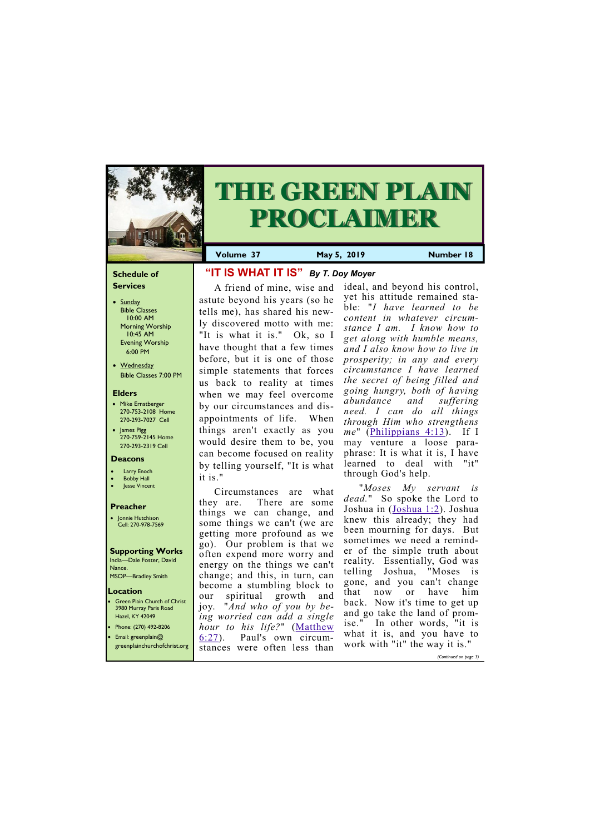#### **Schedule of Services**

- Sunday Bible Classes 10:00 AM Morning Worship 10:45 AM Evening Worship 6:00 PM
- Wednesday Bible Classes 7:00 PM

#### **Elders**

**Green Plain Church of Christ** 3980 Murray Paris Road Hazel, KY 42049 • Phone: (270) 492-8206

- Mike Ernstberger 270-753-2108 Home 270-293-7027 Cell
- James Pigg 270-759-2145 Home 270-293-2319 Cell

#### **Location**



# **THE GREEN PLAIN PROCLAIMER**

**Volume 37 May 5, 2019 Number 18**

#### **Deacons**

- **Larry Enoch**
- **Bobby Hall**
- **Jesse Vincent**

#### **Preacher**

• Jonnie Hutchison Cell: 270-978-7569

#### **Supporting Works** India—Dale Foster, David Nance.

MSOP—Bradley Smith

## **"IT IS WHAT IT IS"** *By T. Doy Moyer*

A friend of mine, wise and astute beyond his years (so he tells me), has shared his newly discovered motto with me: "It is what it is." Ok, so I have thought that a few times before, but it is one of those simple statements that forces us back to reality at times when we may feel overcome by our circumstances and disappointments of life. When things aren't exactly as you would desire them to be, you can become focused on reality by telling yourself, "It is what it is."

Circumstances are what they are. There are some things we can change, and some things we can't (we are getting more profound as we go). Our problem is that we often expend more worry and energy on the things we can't change; and this, in turn, can become a stumbling block to our spiritual growth and joy. "*And who of you by being worried can add a single hour to his life?*" ([Matthew](http://biblia.com/bible/nkjv/Matthew%206.27) 

| Email: greenplain $@$<br>greenplainchurchofchrist.org | $\frac{1}{2}$<br>$\blacksquare$ 6:27).<br>Paul's own circum-<br>stances were often less than | what it is, and you have to<br>work with "it" the way it is." |
|-------------------------------------------------------|----------------------------------------------------------------------------------------------|---------------------------------------------------------------|
|                                                       |                                                                                              | (Continued on page 3)                                         |

ideal, and beyond his control, yet his attitude remained stable: "*I have learned to be content in whatever circumstance I am. I know how to get along with humble means, and I also know how to live in prosperity; in any and every circumstance I have learned the secret of being filled and going hungry, both of having abundance and suffering need. I can do all things through Him who strengthens me*" ([Philippians 4:13\).](http://biblia.com/bible/nkjv/Philippians%204.13) If I may venture a loose paraphrase: It is what it is, I have learned to deal with "it" through God's help.

"*Moses My servant is dead.*" So spoke the Lord to Joshua in ([Joshua 1:2\).](http://biblia.com/bible/nkjv/Joshua%201.2) Joshua knew this already; they had been mourning for days. But sometimes we need a reminder of the simple truth about reality. Essentially, God was telling Joshua, "Moses is gone, and you can't change that now or have him back. Now it's time to get up and go take the land of promise." In other words, "it is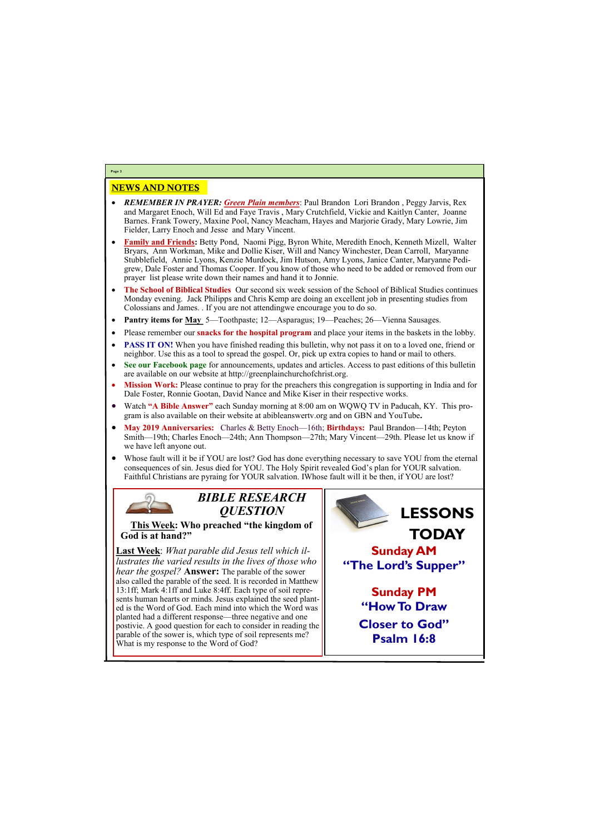### NEWS AND NOTES

- *REMEMBER IN PRAYER: Green Plain members*: Paul Brandon Lori Brandon , Peggy Jarvis, Rex and Margaret Enoch, Will Ed and Faye Travis , Mary Crutchfield, Vickie and Kaitlyn Canter, Joanne Barnes. Frank Towery, Maxine Pool, Nancy Meacham, Hayes and Marjorie Grady, Mary Lowrie, Jim Fielder, Larry Enoch and Jesse and Mary Vincent.
- **Family and Friends:** Betty Pond, Naomi Pigg, Byron White, Meredith Enoch, Kenneth Mizell, Walter Bryars, Ann Workman, Mike and Dollie Kiser, Will and Nancy Winchester, Dean Carroll, Maryanne Stubblefield, Annie Lyons, Kenzie Murdock, Jim Hutson, Amy Lyons, Janice Canter, Maryanne Pedigrew, Dale Foster and Thomas Cooper. If you know of those who need to be added or removed from our prayer list please write down their names and hand it to Jonnie.
- **The School of Biblical Studies** Our second six week session of the School of Biblical Studies continues Monday evening. Jack Philipps and Chris Kemp are doing an excellent job in presenting studies from Colossians and James. . If you are not attendingwe encourage you to do so.
- **Pantry items for <u>May</u>** 5—Toothpaste; 12—Asparagus; 19—Peaches; 26—Vienna Sausages.
- Please remember our **snacks for the hospital program** and place your items in the baskets in the lobby.
- **PASS IT ON!** When you have finished reading this bulletin, why not pass it on to a loved one, friend or neighbor. Use this as a tool to spread the gospel. Or, pick up extra copies to hand or mail to others.
- **See our Facebook page** for announcements, updates and articles. Access to past editions of this bulletin are available on our website at http://greenplainchurchofchrist.org.
- **Mission Work:** Please continue to pray for the preachers this congregation is supporting in India and for Dale Foster, Ronnie Gootan, David Nance and Mike Kiser in their respective works.
- Watch **"A Bible Answer"** each Sunday morning at 8:00 am on WQWQ TV in Paducah, KY. This program is also available on their website at abibleanswertv.org and on GBN and YouTube**.**
- **May 2019 Anniversaries:** Charles & Betty Enoch—16th; **Birthdays:** Paul Brandon—14th; Peyton Smith—19th; Charles Enoch—24th; Ann Thompson—27th; Mary Vincent—29th. Please let us know if we have left anyone out.
- Whose fault will it be if YOU are lost? God has done everything necessary to save YOU from the eternal consequences of sin. Jesus died for YOU. The Holy Spirit revealed God's plan for YOUR salvation. Faithful Christians are pyraing for YOUR salvation. IWhose fault will it be then, if YOU are lost?



**Last Week**: *What parable did Jesus tell which illustrates the varied results in the lives of those who hear the gospel?* **Answer:** The parable of the sower also called the parable of the seed. It is recorded in Matthew 13:1ff; Mark 4:1ff and Luke 8:4ff. Each type of soil represents human hearts or minds. Jesus explained the seed planted is the Word of God. Each mind into which the Word was planted had a different response—three negative and one postivie. A good question for each to consider in reading the

parable of the sower is, which type of soil represents me? What is my response to the Word of God?

**Page 2**

*BIBLE RESEARCH QUESTION*

**This Week: Who preached "the kingdom of God is at hand?"**



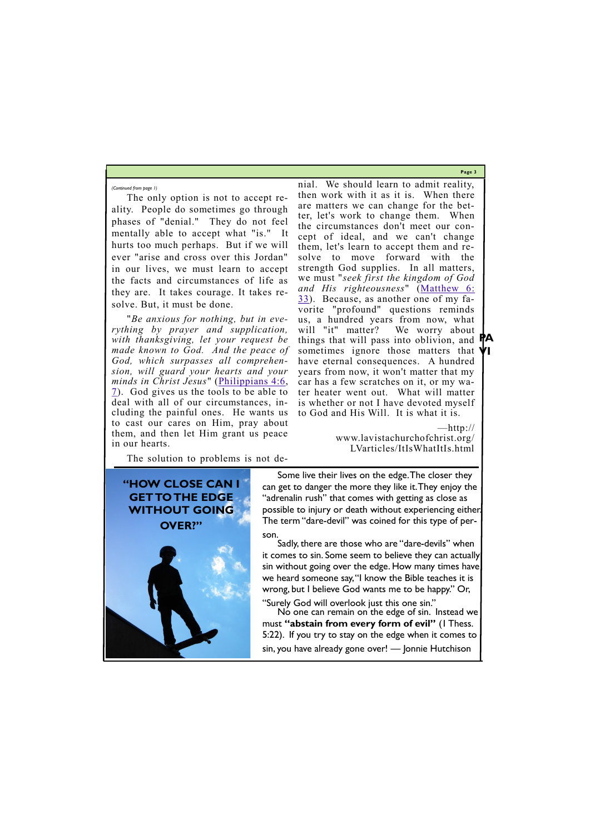**Page 3**

**VI**



The only option is not to accept reality. People do sometimes go through phases of "denial." They do not feel mentally able to accept what "is." It hurts too much perhaps. But if we will ever "arise and cross over this Jordan" in our lives, we must learn to accept the facts and circumstances of life as they are. It takes courage. It takes resolve. But, it must be done.

"*Be anxious for nothing, but in everything by prayer and supplication, with thanksgiving, let your request be made known to God. And the peace of God, which surpasses all comprehension, will guard your hearts and your minds in Christ Jesus*" ([Philippians 4:6,](http://biblia.com/bible/nkjv/Philippians%204.6)  [7\).](http://biblia.com/bible/nkjv/Philippians%204.7) God gives us the tools to be able to deal with all of our circumstances, including the painful ones. He wants us to cast our cares on Him, pray about them, and then let Him grant us peace in our hearts.

The solution to problems is not de-

things that will pass into oblivion, and **PA** nial. We should learn to admit reality, then work with it as it is. When there are matters we can change for the better, let's work to change them. When the circumstances don't meet our concept of ideal, and we can't change them, let's learn to accept them and resolve to move forward with the strength God supplies. In all matters, we must "*seek first the kingdom of God and His righteousness*" ([Matthew 6:](http://biblia.com/bible/nkjv/Matthew%206.%2033)  [33\).](http://biblia.com/bible/nkjv/Matthew%206.%2033) Because, as another one of my favorite "profound" questions reminds us, a hundred years from now, what will "it" matter? We worry about sometimes ignore those matters that have eternal consequences. A hundred years from now, it won't matter that my car has a few scratches on it, or my water heater went out. What will matter is whether or not I have devoted myself to God and His Will. It is what it is.

> —http:// www.lavistachurchofchrist.org/ LVarticles/ItIsWhatItIs.html

*(Continued from page 1)*



Some live their lives on the edge. The closer they can get to danger the more they like it. They enjoy the "adrenalin rush" that comes with getting as close as possible to injury or death without experiencing either. The term "dare-devil" was coined for this type of person.

Sadly, there are those who are "dare-devils" when it comes to sin. Some seem to believe they can actually sin without going over the edge. How many times have we heard someone say, "I know the Bible teaches it is wrong, but I believe God wants me to be happy." Or,

"Surely God will overlook just this one sin." No one can remain on the edge of sin. Instead we

must **"abstain from every form of evil"** (1 Thess.

5:22). If you try to stay on the edge when it comes to sin, you have already gone over! — Jonnie Hutchison